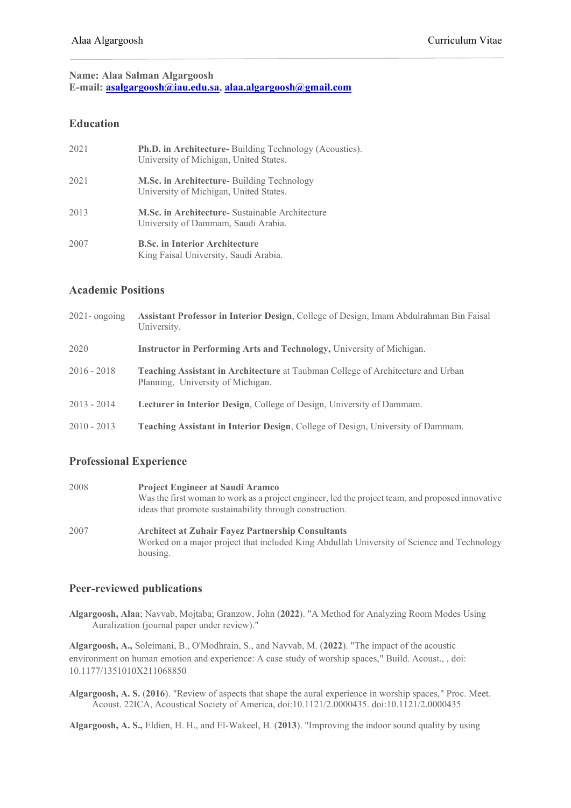**Name: Alaa Salman Algargoosh E-mail: [asalgargoosh@iau.edu.sa,](mailto:asalgargoosh@iau.edu.sa) [alaa.algargoosh@gmail.com](mailto:alaa.algargoosh@gmail.com)**

## **Education**

| 2021 | Ph.D. in Architecture- Building Technology (Acoustics).<br>University of Michigan, United States. |
|------|---------------------------------------------------------------------------------------------------|
| 2021 | M.Sc. in Architecture- Building Technology<br>University of Michigan, United States.              |
| 2013 | M.Sc. in Architecture- Sustainable Architecture<br>University of Dammam, Saudi Arabia.            |
| 2007 | <b>B.Sc. in Interior Architecture</b><br>King Faisal University, Saudi Arabia.                    |

## **Academic Positions**

| Assistant Professor in Interior Design, College of Design, Imam Abdulrahman Bin Faisal<br>University.                |
|----------------------------------------------------------------------------------------------------------------------|
| Instructor in Performing Arts and Technology, University of Michigan.                                                |
| Teaching Assistant in Architecture at Taubman College of Architecture and Urban<br>Planning, University of Michigan. |
| <b>Lecturer in Interior Design, College of Design, University of Dammam.</b>                                         |
| <b>Teaching Assistant in Interior Design, College of Design, University of Dammam.</b>                               |
|                                                                                                                      |

## **Professional Experience**

| 2008 | <b>Project Engineer at Saudi Aramco</b><br>Was the first woman to work as a project engineer, led the project team, and proposed innovative<br>ideas that promote sustainability through construction. |
|------|--------------------------------------------------------------------------------------------------------------------------------------------------------------------------------------------------------|
| 2007 | <b>Architect at Zuhair Favez Partnership Consultants</b><br>Worked on a major project that included King Abdullah University of Science and Technology<br>housing.                                     |

## **Peer-reviewed publications**

**Algargoosh, Alaa**; Navvab, Mojtaba; Granzow, John (**2022**). "A Method for Analyzing Room Modes Using Auralization (journal paper under review)."

**Algargoosh, A.,** Soleimani, B., O'Modhrain, S., and Navvab, M. (**2022**). "The impact of the acoustic environment on human emotion and experience: A case study of worship spaces," Build. Acoust., , doi: 10.1177/1351010X211068850

**Algargoosh, A. S.** (**2016**). "Review of aspects that shape the aural experience in worship spaces," Proc. Meet. Acoust. 22ICA, Acoustical Society of America, doi:10.1121/2.0000435. doi:10.1121/2.0000435

**Algargoosh, A. S.,** Eldien, H. H., and El-Wakeel, H. (**2013**). "Improving the indoor sound quality by using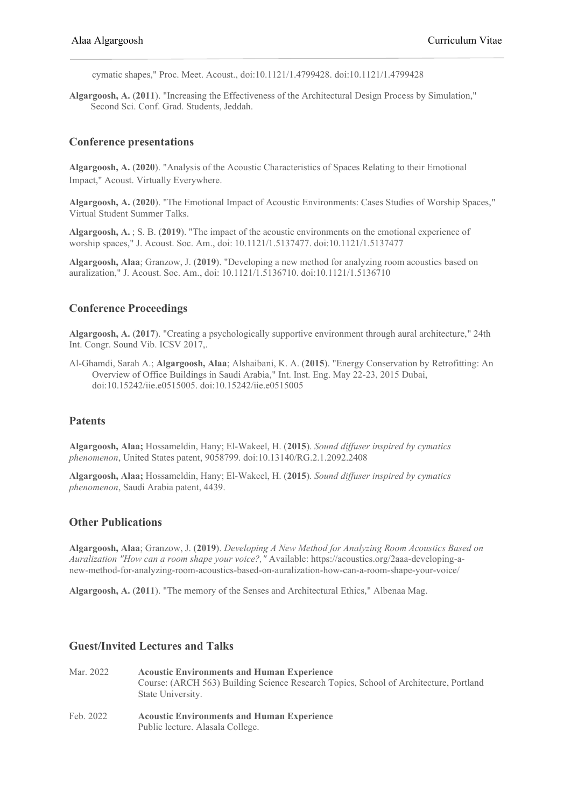cymatic shapes," Proc. Meet. Acoust., doi:10.1121/1.4799428. doi:10.1121/1.4799428

**Algargoosh, A.** (**2011**). "Increasing the Effectiveness of the Architectural Design Process by Simulation," Second Sci. Conf. Grad. Students, Jeddah.

### **Conference presentations**

**Algargoosh, A.** (**2020**). "Analysis of the Acoustic Characteristics of Spaces Relating to their Emotional Impact," Acoust. Virtually Everywhere.

**Algargoosh, A.** (**2020**). "The Emotional Impact of Acoustic Environments: Cases Studies of Worship Spaces," Virtual Student Summer Talks.

**Algargoosh, A.** ; S. B. (**2019**). "The impact of the acoustic environments on the emotional experience of worship spaces," J. Acoust. Soc. Am., doi: 10.1121/1.5137477. doi:10.1121/1.5137477

**Algargoosh, Alaa**; Granzow, J. (**2019**). "Developing a new method for analyzing room acoustics based on auralization," J. Acoust. Soc. Am., doi: 10.1121/1.5136710. doi:10.1121/1.5136710

## **Conference Proceedings**

**Algargoosh, A.** (**2017**). "Creating a psychologically supportive environment through aural architecture," 24th Int. Congr. Sound Vib. ICSV 2017,.

Al-Ghamdi, Sarah A.; **Algargoosh, Alaa**; Alshaibani, K. A. (**2015**). "Energy Conservation by Retrofitting: An Overview of Office Buildings in Saudi Arabia," Int. Inst. Eng. May 22-23, 2015 Dubai, doi:10.15242/iie.e0515005. doi:10.15242/iie.e0515005

### **Patents**

**Algargoosh, Alaa;** Hossameldin, Hany; El-Wakeel, H. (**2015**). *Sound diffuser inspired by cymatics phenomenon*, United States patent, 9058799. doi:10.13140/RG.2.1.2092.2408

**Algargoosh, Alaa;** Hossameldin, Hany; El-Wakeel, H. (**2015**). *Sound diffuser inspired by cymatics phenomenon*, Saudi Arabia patent, 4439.

## **Other Publications**

**Algargoosh, Alaa**; Granzow, J. (**2019**). *Developing A New Method for Analyzing Room Acoustics Based on Auralization "How can a room shape your voice?,"* Available: https://acoustics.org/2aaa-developing-anew-method-for-analyzing-room-acoustics-based-on-auralization-how-can-a-room-shape-your-voice/

**Algargoosh, A.** (**2011**). "The memory of the Senses and Architectural Ethics," Albenaa Mag.

## **Guest/Invited Lectures and Talks**

- Mar. 2022 **Acoustic Environments and Human Experience** Course: (ARCH 563) Building Science Research Topics, School of Architecture, Portland State University.
- Feb. 2022 **Acoustic Environments and Human Experience** Public lecture. Alasala College.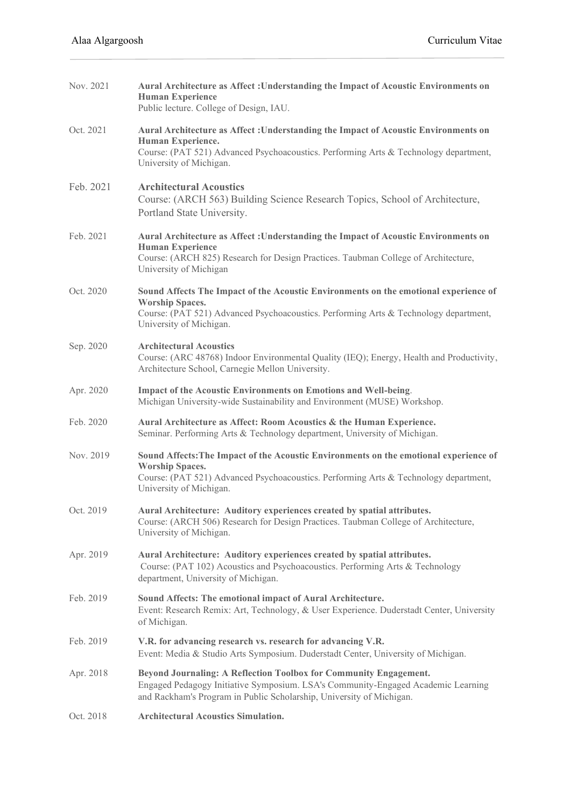| Nov. 2021 | Aural Architecture as Affect : Understanding the Impact of Acoustic Environments on<br><b>Human Experience</b><br>Public lecture. College of Design, IAU.                                                                          |
|-----------|------------------------------------------------------------------------------------------------------------------------------------------------------------------------------------------------------------------------------------|
| Oct. 2021 | Aural Architecture as Affect : Understanding the Impact of Acoustic Environments on<br>Human Experience.<br>Course: (PAT 521) Advanced Psychoacoustics. Performing Arts & Technology department,<br>University of Michigan.        |
| Feb. 2021 | <b>Architectural Acoustics</b><br>Course: (ARCH 563) Building Science Research Topics, School of Architecture,<br>Portland State University.                                                                                       |
| Feb. 2021 | Aural Architecture as Affect : Understanding the Impact of Acoustic Environments on<br><b>Human Experience</b><br>Course: (ARCH 825) Research for Design Practices. Taubman College of Architecture,<br>University of Michigan     |
| Oct. 2020 | Sound Affects The Impact of the Acoustic Environments on the emotional experience of<br><b>Worship Spaces.</b><br>Course: (PAT 521) Advanced Psychoacoustics. Performing Arts & Technology department,<br>University of Michigan.  |
| Sep. 2020 | <b>Architectural Acoustics</b><br>Course: (ARC 48768) Indoor Environmental Quality (IEQ); Energy, Health and Productivity,<br>Architecture School, Carnegie Mellon University.                                                     |
| Apr. 2020 | Impact of the Acoustic Environments on Emotions and Well-being.<br>Michigan University-wide Sustainability and Environment (MUSE) Workshop.                                                                                        |
| Feb. 2020 | Aural Architecture as Affect: Room Acoustics & the Human Experience.<br>Seminar. Performing Arts & Technology department, University of Michigan.                                                                                  |
| Nov. 2019 | Sound Affects: The Impact of the Acoustic Environments on the emotional experience of<br><b>Worship Spaces.</b><br>Course: (PAT 521) Advanced Psychoacoustics. Performing Arts & Technology department,<br>University of Michigan. |
| Oct. 2019 | Aural Architecture: Auditory experiences created by spatial attributes.<br>Course: (ARCH 506) Research for Design Practices. Taubman College of Architecture,<br>University of Michigan.                                           |
| Apr. 2019 | Aural Architecture: Auditory experiences created by spatial attributes.<br>Course: (PAT 102) Acoustics and Psychoacoustics. Performing Arts & Technology<br>department, University of Michigan.                                    |
| Feb. 2019 | Sound Affects: The emotional impact of Aural Architecture.<br>Event: Research Remix: Art, Technology, & User Experience. Duderstadt Center, University<br>of Michigan.                                                             |
| Feb. 2019 | V.R. for advancing research vs. research for advancing V.R.<br>Event: Media & Studio Arts Symposium. Duderstadt Center, University of Michigan.                                                                                    |
| Apr. 2018 | Beyond Journaling: A Reflection Toolbox for Community Engagement.<br>Engaged Pedagogy Initiative Symposium. LSA's Community-Engaged Academic Learning<br>and Rackham's Program in Public Scholarship, University of Michigan.      |
| Oct. 2018 | <b>Architectural Acoustics Simulation.</b>                                                                                                                                                                                         |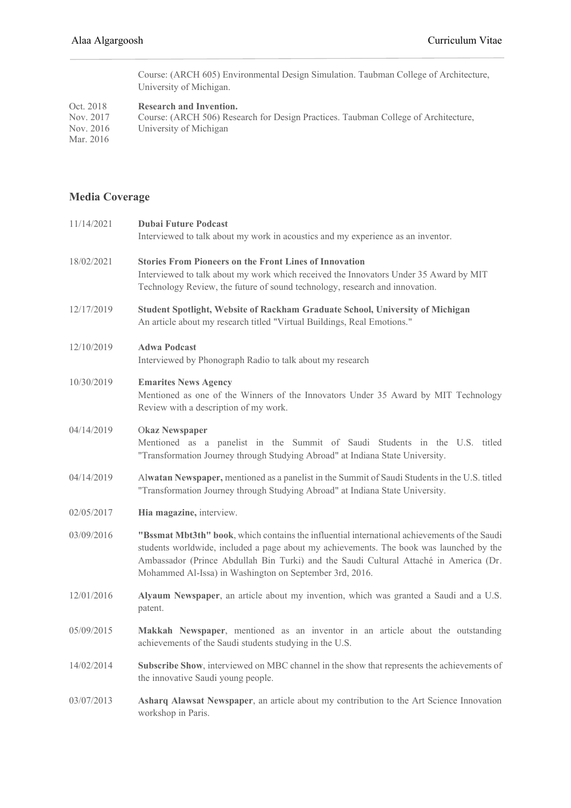Course: (ARCH 605) Environmental Design Simulation. Taubman College of Architecture, University of Michigan.

# Oct. 2018 **Research and Invention.**<br>Nov. 2017 Course: (ARCH 506) Rese

Nov. 2017 Course: (ARCH 506) Research for Design Practices. Taubman College of Architecture,<br>Nov. 2016 University of Michigan University of Michigan Mar. 2016

**Media Coverage**

| 11/14/2021 | <b>Dubai Future Podcast</b><br>Interviewed to talk about my work in acoustics and my experience as an inventor.                                                                                                                                                                                                                             |
|------------|---------------------------------------------------------------------------------------------------------------------------------------------------------------------------------------------------------------------------------------------------------------------------------------------------------------------------------------------|
| 18/02/2021 | <b>Stories From Pioneers on the Front Lines of Innovation</b><br>Interviewed to talk about my work which received the Innovators Under 35 Award by MIT<br>Technology Review, the future of sound technology, research and innovation.                                                                                                       |
| 12/17/2019 | Student Spotlight, Website of Rackham Graduate School, University of Michigan<br>An article about my research titled "Virtual Buildings, Real Emotions."                                                                                                                                                                                    |
| 12/10/2019 | <b>Adwa Podcast</b><br>Interviewed by Phonograph Radio to talk about my research                                                                                                                                                                                                                                                            |
| 10/30/2019 | <b>Emarites News Agency</b><br>Mentioned as one of the Winners of the Innovators Under 35 Award by MIT Technology<br>Review with a description of my work.                                                                                                                                                                                  |
| 04/14/2019 | <b>Okaz Newspaper</b><br>Mentioned as a panelist in the Summit of Saudi Students in the U.S. titled<br>"Transformation Journey through Studying Abroad" at Indiana State University.                                                                                                                                                        |
| 04/14/2019 | Alwatan Newspaper, mentioned as a panelist in the Summit of Saudi Students in the U.S. titled<br>"Transformation Journey through Studying Abroad" at Indiana State University.                                                                                                                                                              |
| 02/05/2017 | Hia magazine, interview.                                                                                                                                                                                                                                                                                                                    |
| 03/09/2016 | "Bssmat Mbt3th" book, which contains the influential international achievements of the Saudi<br>students worldwide, included a page about my achievements. The book was launched by the<br>Ambassador (Prince Abdullah Bin Turki) and the Saudi Cultural Attaché in America (Dr.<br>Mohammed Al-Issa) in Washington on September 3rd, 2016. |
| 12/01/2016 | Alyaum Newspaper, an article about my invention, which was granted a Saudi and a U.S.<br>patent.                                                                                                                                                                                                                                            |
| 05/09/2015 | Makkah Newspaper, mentioned as an inventor in an article about the outstanding<br>achievements of the Saudi students studying in the U.S.                                                                                                                                                                                                   |
| 14/02/2014 | Subscribe Show, interviewed on MBC channel in the show that represents the achievements of<br>the innovative Saudi young people.                                                                                                                                                                                                            |
| 03/07/2013 | Asharq Alawsat Newspaper, an article about my contribution to the Art Science Innovation<br>workshop in Paris.                                                                                                                                                                                                                              |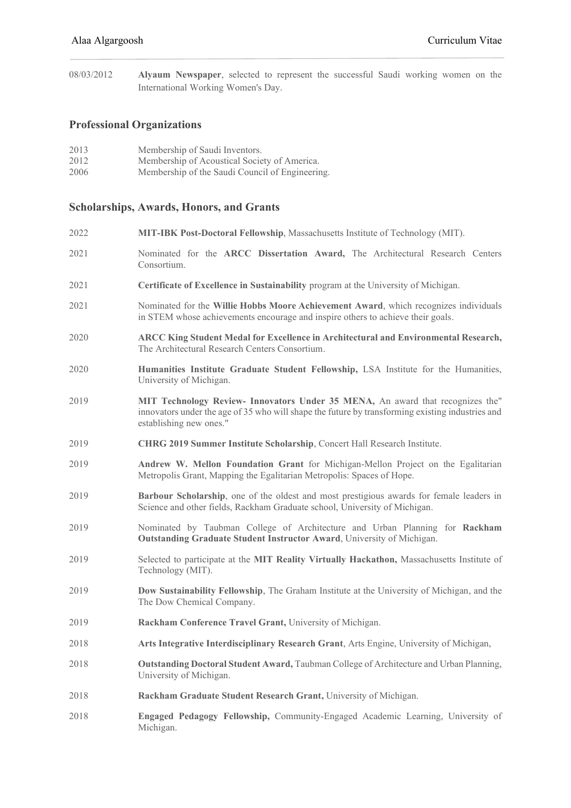08/03/2012 **Alyaum Newspaper**, selected to represent the successful Saudi working women on the International Working Women's Day.

### **Professional Organizations**

| 2013 | Membership of Saudi Inventors.                  |
|------|-------------------------------------------------|
| 2012 | Membership of Acoustical Society of America.    |
| 2006 | Membership of the Saudi Council of Engineering. |

#### **Scholarships, Awards, Honors, and Grants**

2022 **MIT-IBK Post-Doctoral Fellowship**, Massachusetts Institute of Technology (MIT). 2021 Nominated for the **ARCC Dissertation Award,** The Architectural Research Centers Consortium. 2021 **Certificate of Excellence in Sustainability** program at the University of Michigan. 2021 Nominated for the **Willie Hobbs Moore Achievement Award**, which recognizes individuals in STEM whose achievements encourage and inspire others to achieve their goals. 2020 **ARCC King Student Medal for Excellence in Architectural and Environmental Research,**  The Architectural Research Centers Consortium. 2020 **Humanities Institute Graduate Student Fellowship,** LSA Institute for the Humanities, University of Michigan. 2019 **MIT Technology Review- Innovators Under 35 MENA,** An award that recognizes the" innovators under the age of 35 who will shape the future by transforming existing industries and establishing new ones." 2019 **CHRG 2019 Summer Institute Scholarship**, Concert Hall Research Institute. 2019 **Andrew W. Mellon Foundation Grant** for Michigan-Mellon Project on the Egalitarian Metropolis Grant, Mapping the Egalitarian Metropolis: Spaces of Hope. 2019 **Barbour Scholarship**, one of the oldest and most prestigious awards for female leaders in Science and other fields, Rackham Graduate school, University of Michigan. 2019 Nominated by Taubman College of Architecture and Urban Planning for **Rackham Outstanding Graduate Student Instructor Award**, University of Michigan. 2019 Selected to participate at the **MIT Reality Virtually Hackathon,** Massachusetts Institute of Technology (MIT). 2019 **Dow Sustainability Fellowship**, The Graham Institute at the University of Michigan, and the The Dow Chemical Company. 2019 **Rackham Conference Travel Grant,** University of Michigan. 2018 **Arts Integrative Interdisciplinary Research Grant**, Arts Engine, University of Michigan, 2018 **Outstanding Doctoral Student Award,** Taubman College of Architecture and Urban Planning, University of Michigan. 2018 **Rackham Graduate Student Research Grant,** University of Michigan. 2018 **Engaged Pedagogy Fellowship,** Community-Engaged Academic Learning, University of Michigan.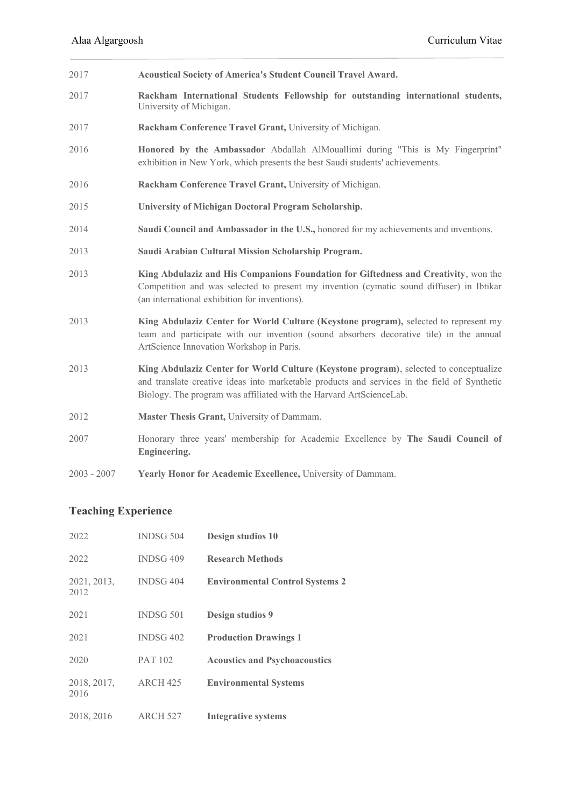| 2017          | Acoustical Society of America's Student Council Travel Award.                                                                                                                                                                                                |
|---------------|--------------------------------------------------------------------------------------------------------------------------------------------------------------------------------------------------------------------------------------------------------------|
| 2017          | Rackham International Students Fellowship for outstanding international students,<br>University of Michigan.                                                                                                                                                 |
| 2017          | Rackham Conference Travel Grant, University of Michigan.                                                                                                                                                                                                     |
| 2016          | Honored by the Ambassador Abdallah AlMouallimi during "This is My Fingerprint"<br>exhibition in New York, which presents the best Saudi students' achievements.                                                                                              |
| 2016          | Rackham Conference Travel Grant, University of Michigan.                                                                                                                                                                                                     |
| 2015          | University of Michigan Doctoral Program Scholarship.                                                                                                                                                                                                         |
| 2014          | Saudi Council and Ambassador in the U.S., honored for my achievements and inventions.                                                                                                                                                                        |
| 2013          | Saudi Arabian Cultural Mission Scholarship Program.                                                                                                                                                                                                          |
| 2013          | King Abdulaziz and His Companions Foundation for Giftedness and Creativity, won the<br>Competition and was selected to present my invention (cymatic sound diffuser) in Ibtikar<br>(an international exhibition for inventions).                             |
| 2013          | King Abdulaziz Center for World Culture (Keystone program), selected to represent my<br>team and participate with our invention (sound absorbers decorative tile) in the annual<br>ArtScience Innovation Workshop in Paris.                                  |
| 2013          | King Abdulaziz Center for World Culture (Keystone program), selected to conceptualize<br>and translate creative ideas into marketable products and services in the field of Synthetic<br>Biology. The program was affiliated with the Harvard ArtScienceLab. |
| 2012          | Master Thesis Grant, University of Dammam.                                                                                                                                                                                                                   |
| 2007          | Honorary three years' membership for Academic Excellence by The Saudi Council of<br>Engineering.                                                                                                                                                             |
| $2003 - 2007$ | Yearly Honor for Academic Excellence, University of Dammam.                                                                                                                                                                                                  |

# **Teaching Experience**

| 2022                | INDSG 504        | Design studios 10                      |
|---------------------|------------------|----------------------------------------|
| 2022                | INDSG 409        | <b>Research Methods</b>                |
| 2021, 2013,<br>2012 | INDSG 404        | <b>Environmental Control Systems 2</b> |
| 2021                | <b>INDSG 501</b> | Design studios 9                       |
| 2021                | <b>INDSG 402</b> | <b>Production Drawings 1</b>           |
| 2020                | <b>PAT 102</b>   | <b>Acoustics and Psychoacoustics</b>   |
| 2018, 2017,<br>2016 | <b>ARCH 425</b>  | <b>Environmental Systems</b>           |
| 2018, 2016          | <b>ARCH 527</b>  | <b>Integrative systems</b>             |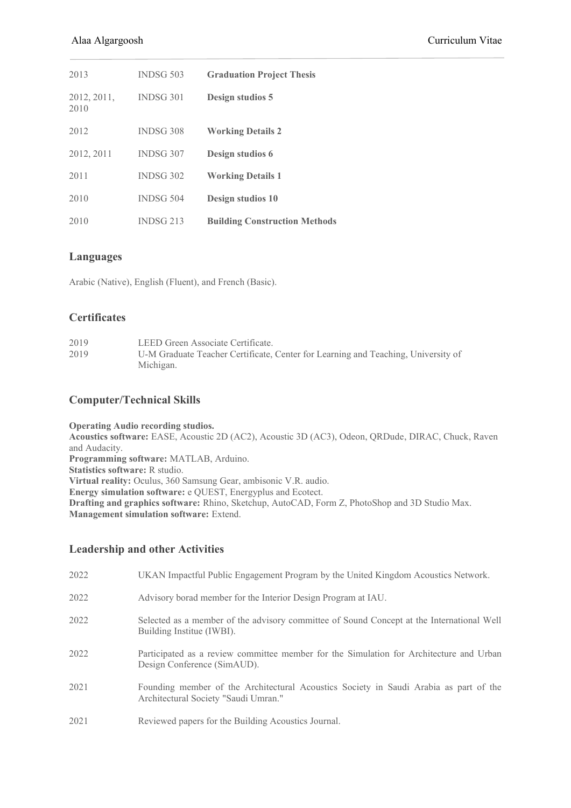| 2013                | <b>INDSG 503</b> | <b>Graduation Project Thesis</b>     |
|---------------------|------------------|--------------------------------------|
| 2012, 2011,<br>2010 | <b>INDSG 301</b> | Design studios 5                     |
| 2012                | <b>INDSG 308</b> | <b>Working Details 2</b>             |
| 2012, 2011          | INDSG 307        | Design studios 6                     |
| 2011                | <b>INDSG 302</b> | <b>Working Details 1</b>             |
| 2010                | <b>INDSG 504</b> | Design studios 10                    |
| 2010                | <b>INDSG 213</b> | <b>Building Construction Methods</b> |

## **Languages**

Arabic (Native), English (Fluent), and French (Basic).

## **Certificates**

| 2019 | LEED Green Associate Certificate.                                                 |
|------|-----------------------------------------------------------------------------------|
| 2019 | U-M Graduate Teacher Certificate, Center for Learning and Teaching, University of |
|      | Michigan.                                                                         |

## **Computer/Technical Skills**

**Operating Audio recording studios. Acoustics software:** EASE, Acoustic 2D (AC2), Acoustic 3D (AC3), Odeon, QRDude, DIRAC, Chuck, Raven and Audacity. **Programming software:** MATLAB, Arduino. **Statistics software:** R studio. **Virtual reality:** Oculus, 360 Samsung Gear, ambisonic V.R. audio. **Energy simulation software:** e QUEST, Energyplus and Ecotect. **Drafting and graphics software:** Rhino, Sketchup, AutoCAD, Form Z, PhotoShop and 3D Studio Max. **Management simulation software:** Extend.

## **Leadership and other Activities**

| 2022 | UKAN Impactful Public Engagement Program by the United Kingdom Acoustics Network.                                             |
|------|-------------------------------------------------------------------------------------------------------------------------------|
| 2022 | Advisory borad member for the Interior Design Program at IAU.                                                                 |
| 2022 | Selected as a member of the advisory committee of Sound Concept at the International Well<br>Building Institue (IWBI).        |
| 2022 | Participated as a review committee member for the Simulation for Architecture and Urban<br>Design Conference (SimAUD).        |
| 2021 | Founding member of the Architectural Acoustics Society in Saudi Arabia as part of the<br>Architectural Society "Saudi Umran." |
| 2021 | Reviewed papers for the Building Acoustics Journal.                                                                           |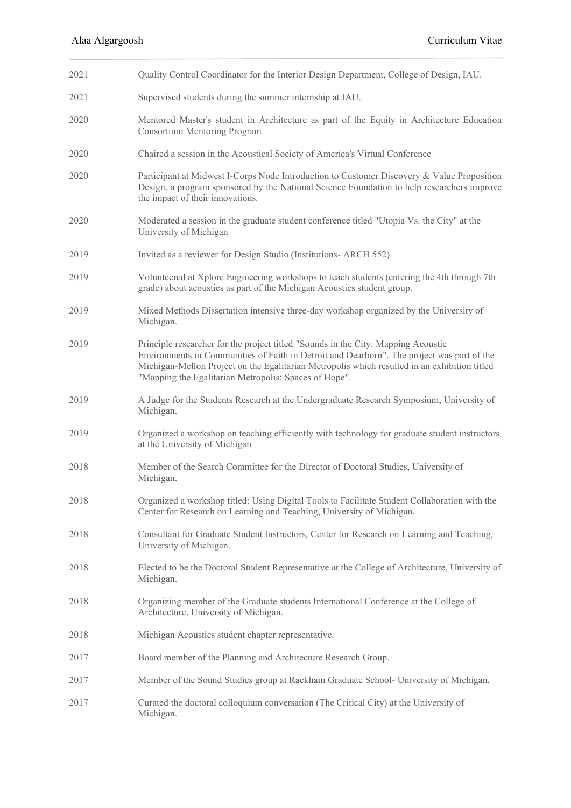# Alaa Algargoosh Curriculum Vitae

| 2021 | Quality Control Coordinator for the Interior Design Department, College of Design, IAU.                                                                                                                                                                                                                                                  |
|------|------------------------------------------------------------------------------------------------------------------------------------------------------------------------------------------------------------------------------------------------------------------------------------------------------------------------------------------|
| 2021 | Supervised students during the summer internship at IAU.                                                                                                                                                                                                                                                                                 |
| 2020 | Mentored Master's student in Architecture as part of the Equity in Architecture Education<br>Consortium Mentoring Program.                                                                                                                                                                                                               |
| 2020 | Chaired a session in the Acoustical Society of America's Virtual Conference                                                                                                                                                                                                                                                              |
| 2020 | Participant at Midwest I-Corps Node Introduction to Customer Discovery & Value Proposition<br>Design, a program sponsored by the National Science Foundation to help researchers improve<br>the impact of their innovations.                                                                                                             |
| 2020 | Moderated a session in the graduate student conference titled "Utopia Vs. the City" at the<br>University of Michigan                                                                                                                                                                                                                     |
| 2019 | Invited as a reviewer for Design Studio (Institutions- ARCH 552).                                                                                                                                                                                                                                                                        |
| 2019 | Volunteered at Xplore Engineering workshops to teach students (entering the 4th through 7th<br>grade) about acoustics as part of the Michigan Acoustics student group.                                                                                                                                                                   |
| 2019 | Mixed Methods Dissertation intensive three-day workshop organized by the University of<br>Michigan.                                                                                                                                                                                                                                      |
| 2019 | Principle researcher for the project titled "Sounds in the City: Mapping Acoustic<br>Environments in Communities of Faith in Detroit and Dearborn". The project was part of the<br>Michigan-Mellon Project on the Egalitarian Metropolis which resulted in an exhibition titled<br>"Mapping the Egalitarian Metropolis: Spaces of Hope". |
| 2019 | A Judge for the Students Research at the Undergraduate Research Symposium, University of<br>Michigan.                                                                                                                                                                                                                                    |
| 2019 | Organized a workshop on teaching efficiently with technology for graduate student instructors<br>at the University of Michigan                                                                                                                                                                                                           |
| 2018 | Member of the Search Committee for the Director of Doctoral Studies, University of<br>Michigan.                                                                                                                                                                                                                                          |
| 2018 | Organized a workshop titled: Using Digital Tools to Facilitate Student Collaboration with the<br>Center for Research on Learning and Teaching, University of Michigan.                                                                                                                                                                   |
| 2018 | Consultant for Graduate Student Instructors, Center for Research on Learning and Teaching,<br>University of Michigan.                                                                                                                                                                                                                    |
| 2018 | Elected to be the Doctoral Student Representative at the College of Architecture, University of<br>Michigan.                                                                                                                                                                                                                             |
| 2018 | Organizing member of the Graduate students International Conference at the College of<br>Architecture, University of Michigan.                                                                                                                                                                                                           |
| 2018 | Michigan Acoustics student chapter representative.                                                                                                                                                                                                                                                                                       |
| 2017 | Board member of the Planning and Architecture Research Group.                                                                                                                                                                                                                                                                            |
| 2017 | Member of the Sound Studies group at Rackham Graduate School- University of Michigan.                                                                                                                                                                                                                                                    |
| 2017 | Curated the doctoral colloquium conversation (The Critical City) at the University of<br>Michigan.                                                                                                                                                                                                                                       |